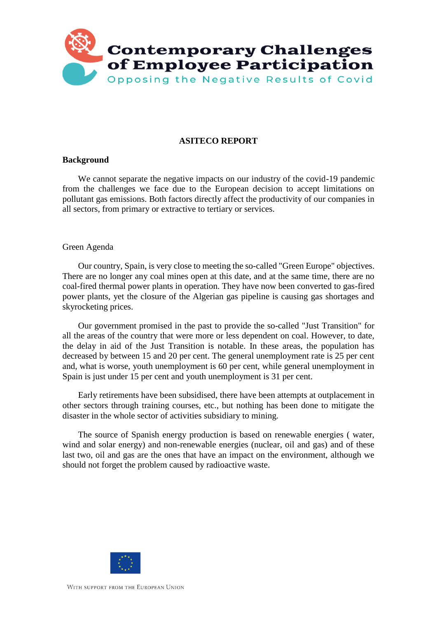

# **ASITECO REPORT**

### **Background**

We cannot separate the negative impacts on our industry of the covid-19 pandemic from the challenges we face due to the European decision to accept limitations on pollutant gas emissions. Both factors directly affect the productivity of our companies in all sectors, from primary or extractive to tertiary or services.

#### Green Agenda

Our country, Spain, is very close to meeting the so-called "Green Europe" objectives. There are no longer any coal mines open at this date, and at the same time, there are no coal-fired thermal power plants in operation. They have now been converted to gas-fired power plants, yet the closure of the Algerian gas pipeline is causing gas shortages and skyrocketing prices.

Our government promised in the past to provide the so-called "Just Transition" for all the areas of the country that were more or less dependent on coal. However, to date, the delay in aid of the Just Transition is notable. In these areas, the population has decreased by between 15 and 20 per cent. The general unemployment rate is 25 per cent and, what is worse, youth unemployment is 60 per cent, while general unemployment in Spain is just under 15 per cent and youth unemployment is 31 per cent.

Early retirements have been subsidised, there have been attempts at outplacement in other sectors through training courses, etc., but nothing has been done to mitigate the disaster in the whole sector of activities subsidiary to mining.

The source of Spanish energy production is based on renewable energies ( water, wind and solar energy) and non-renewable energies (nuclear, oil and gas) and of these last two, oil and gas are the ones that have an impact on the environment, although we should not forget the problem caused by radioactive waste.

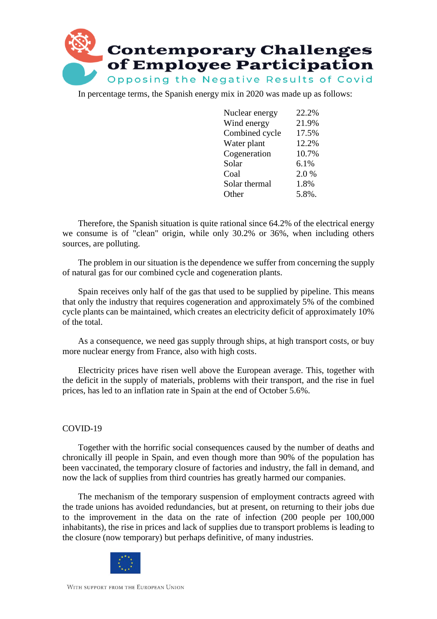

In percentage terms, the Spanish energy mix in 2020 was made up as follows:

| Nuclear energy | 22.2% |
|----------------|-------|
| Wind energy    | 21.9% |
| Combined cycle | 17.5% |
| Water plant    | 12.2% |
| Cogeneration   | 10.7% |
| Solar          | 6.1%  |
| Coal           | 2.0%  |
| Solar thermal  | 1.8%  |
| Other          | 5.8%. |

Therefore, the Spanish situation is quite rational since 64.2% of the electrical energy we consume is of "clean" origin, while only 30.2% or 36%, when including others sources, are polluting.

The problem in our situation is the dependence we suffer from concerning the supply of natural gas for our combined cycle and cogeneration plants.

Spain receives only half of the gas that used to be supplied by pipeline. This means that only the industry that requires cogeneration and approximately 5% of the combined cycle plants can be maintained, which creates an electricity deficit of approximately 10% of the total.

As a consequence, we need gas supply through ships, at high transport costs, or buy more nuclear energy from France, also with high costs.

Electricity prices have risen well above the European average. This, together with the deficit in the supply of materials, problems with their transport, and the rise in fuel prices, has led to an inflation rate in Spain at the end of October 5.6%.

# COVID-19

Together with the horrific social consequences caused by the number of deaths and chronically ill people in Spain, and even though more than 90% of the population has been vaccinated, the temporary closure of factories and industry, the fall in demand, and now the lack of supplies from third countries has greatly harmed our companies.

The mechanism of the temporary suspension of employment contracts agreed with the trade unions has avoided redundancies, but at present, on returning to their jobs due to the improvement in the data on the rate of infection (200 people per 100,000 inhabitants), the rise in prices and lack of supplies due to transport problems is leading to the closure (now temporary) but perhaps definitive, of many industries.

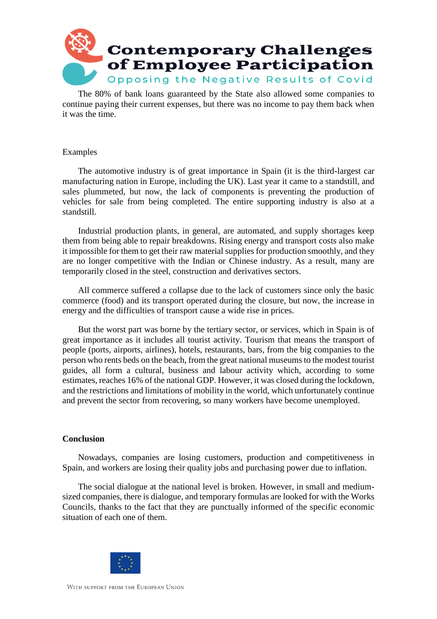

The 80% of bank loans guaranteed by the State also allowed some companies to continue paying their current expenses, but there was no income to pay them back when it was the time.

### Examples

The automotive industry is of great importance in Spain (it is the third-largest car manufacturing nation in Europe, including the UK). Last year it came to a standstill, and sales plummeted, but now, the lack of components is preventing the production of vehicles for sale from being completed. The entire supporting industry is also at a standstill.

Industrial production plants, in general, are automated, and supply shortages keep them from being able to repair breakdowns. Rising energy and transport costs also make it impossible for them to get their raw material supplies for production smoothly, and they are no longer competitive with the Indian or Chinese industry. As a result, many are temporarily closed in the steel, construction and derivatives sectors.

All commerce suffered a collapse due to the lack of customers since only the basic commerce (food) and its transport operated during the closure, but now, the increase in energy and the difficulties of transport cause a wide rise in prices.

But the worst part was borne by the tertiary sector, or services, which in Spain is of great importance as it includes all tourist activity. Tourism that means the transport of people (ports, airports, airlines), hotels, restaurants, bars, from the big companies to the person who rents beds on the beach, from the great national museums to the modest tourist guides, all form a cultural, business and labour activity which, according to some estimates, reaches 16% of the national GDP. However, it was closed during the lockdown, and the restrictions and limitations of mobility in the world, which unfortunately continue and prevent the sector from recovering, so many workers have become unemployed.

# **Conclusion**

Nowadays, companies are losing customers, production and competitiveness in Spain, and workers are losing their quality jobs and purchasing power due to inflation.

The social dialogue at the national level is broken. However, in small and mediumsized companies, there is dialogue, and temporary formulas are looked for with the Works Councils, thanks to the fact that they are punctually informed of the specific economic situation of each one of them.